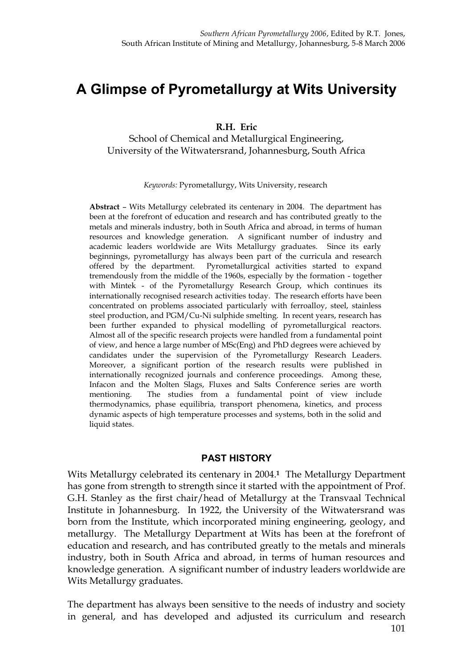# **A Glimpse of Pyrometallurgy at Wits University**

**R.H. Eric**

School of Chemical and Metallurgical Engineering, University of the Witwatersrand, Johannesburg, South Africa

*Keywords:* Pyrometallurgy, Wits University, research

**Abstract** – Wits Metallurgy celebrated its centenary in 2004. The department has been at the forefront of education and research and has contributed greatly to the metals and minerals industry, both in South Africa and abroad, in terms of human resources and knowledge generation. A significant number of industry and academic leaders worldwide are Wits Metallurgy graduates. Since its early beginnings, pyrometallurgy has always been part of the curricula and research offered by the department. Pyrometallurgical activities started to expand tremendously from the middle of the 1960s, especially by the formation - together with Mintek - of the Pyrometallurgy Research Group, which continues its internationally recognised research activities today. The research efforts have been concentrated on problems associated particularly with ferroalloy, steel, stainless steel production, and PGM/Cu-Ni sulphide smelting. In recent years, research has been further expanded to physical modelling of pyrometallurgical reactors. Almost all of the specific research projects were handled from a fundamental point of view, and hence a large number of MSc(Eng) and PhD degrees were achieved by candidates under the supervision of the Pyrometallurgy Research Leaders. Moreover, a significant portion of the research results were published in internationally recognized journals and conference proceedings. Among these, Infacon and the Molten Slags, Fluxes and Salts Conference series are worth mentioning. The studies from a fundamental point of view include thermodynamics, phase equilibria, transport phenomena, kinetics, and process dynamic aspects of high temperature processes and systems, both in the solid and liquid states.

### **PAST HISTORY**

Wits Metallurgy celebrated its centenary in 2004.**1** The Metallurgy Department has gone from strength to strength since it started with the appointment of Prof. G.H. Stanley as the first chair/head of Metallurgy at the Transvaal Technical Institute in Johannesburg. In 1922, the University of the Witwatersrand was born from the Institute, which incorporated mining engineering, geology, and metallurgy. The Metallurgy Department at Wits has been at the forefront of education and research, and has contributed greatly to the metals and minerals industry, both in South Africa and abroad, in terms of human resources and knowledge generation. A significant number of industry leaders worldwide are Wits Metallurgy graduates.

The department has always been sensitive to the needs of industry and society in general, and has developed and adjusted its curriculum and research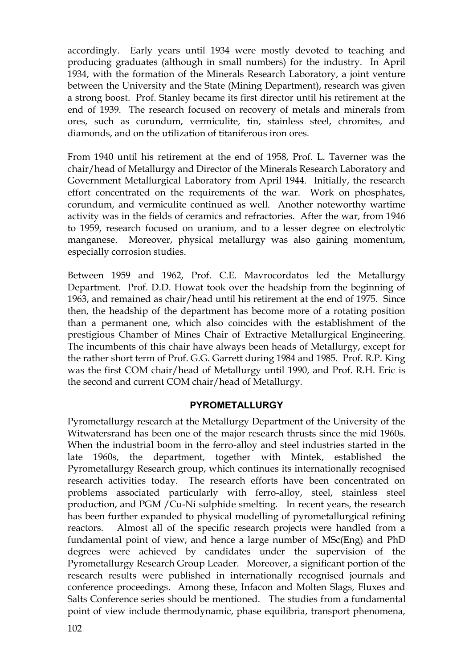accordingly. Early years until 1934 were mostly devoted to teaching and producing graduates (although in small numbers) for the industry. In April 1934, with the formation of the Minerals Research Laboratory, a joint venture between the University and the State (Mining Department), research was given a strong boost. Prof. Stanley became its first director until his retirement at the end of 1939. The research focused on recovery of metals and minerals from ores, such as corundum, vermiculite, tin, stainless steel, chromites, and diamonds, and on the utilization of titaniferous iron ores.

From 1940 until his retirement at the end of 1958, Prof. L. Taverner was the chair/head of Metallurgy and Director of the Minerals Research Laboratory and Government Metallurgical Laboratory from April 1944. Initially, the research effort concentrated on the requirements of the war. Work on phosphates, corundum, and vermiculite continued as well. Another noteworthy wartime activity was in the fields of ceramics and refractories. After the war, from 1946 to 1959, research focused on uranium, and to a lesser degree on electrolytic manganese. Moreover, physical metallurgy was also gaining momentum, especially corrosion studies.

Between 1959 and 1962, Prof. C.E. Mavrocordatos led the Metallurgy Department. Prof. D.D. Howat took over the headship from the beginning of 1963, and remained as chair/head until his retirement at the end of 1975. Since then, the headship of the department has become more of a rotating position than a permanent one, which also coincides with the establishment of the prestigious Chamber of Mines Chair of Extractive Metallurgical Engineering. The incumbents of this chair have always been heads of Metallurgy, except for the rather short term of Prof. G.G. Garrett during 1984 and 1985. Prof. R.P. King was the first COM chair/head of Metallurgy until 1990, and Prof. R.H. Eric is the second and current COM chair/head of Metallurgy.

# **PYROMETALLURGY**

Pyrometallurgy research at the Metallurgy Department of the University of the Witwatersrand has been one of the major research thrusts since the mid 1960s. When the industrial boom in the ferro-alloy and steel industries started in the late 1960s, the department, together with Mintek, established the Pyrometallurgy Research group, which continues its internationally recognised research activities today. The research efforts have been concentrated on problems associated particularly with ferro-alloy, steel, stainless steel production, and PGM /Cu-Ni sulphide smelting. In recent years, the research has been further expanded to physical modelling of pyrometallurgical refining reactors. Almost all of the specific research projects were handled from a fundamental point of view, and hence a large number of MSc(Eng) and PhD degrees were achieved by candidates under the supervision of the Pyrometallurgy Research Group Leader. Moreover, a significant portion of the research results were published in internationally recognised journals and conference proceedings. Among these, Infacon and Molten Slags, Fluxes and Salts Conference series should be mentioned. The studies from a fundamental point of view include thermodynamic, phase equilibria, transport phenomena,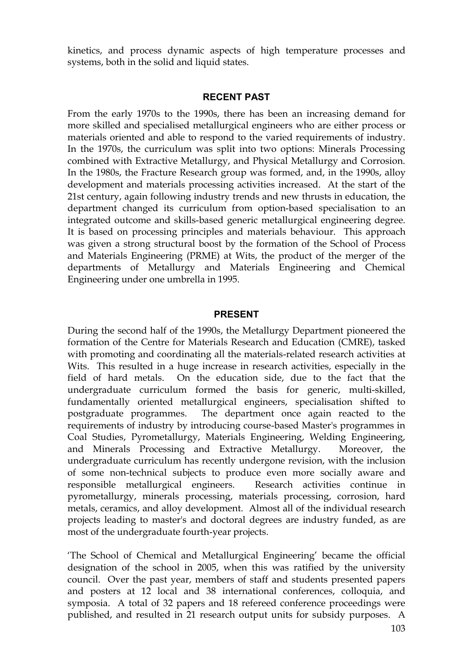kinetics, and process dynamic aspects of high temperature processes and systems, both in the solid and liquid states.

#### **RECENT PAST**

From the early 1970s to the 1990s, there has been an increasing demand for more skilled and specialised metallurgical engineers who are either process or materials oriented and able to respond to the varied requirements of industry. In the 1970s, the curriculum was split into two options: Minerals Processing combined with Extractive Metallurgy, and Physical Metallurgy and Corrosion. In the 1980s, the Fracture Research group was formed, and, in the 1990s, alloy development and materials processing activities increased. At the start of the 21st century, again following industry trends and new thrusts in education, the department changed its curriculum from option-based specialisation to an integrated outcome and skills-based generic metallurgical engineering degree. It is based on processing principles and materials behaviour. This approach was given a strong structural boost by the formation of the School of Process and Materials Engineering (PRME) at Wits, the product of the merger of the departments of Metallurgy and Materials Engineering and Chemical Engineering under one umbrella in 1995.

#### **PRESENT**

During the second half of the 1990s, the Metallurgy Department pioneered the formation of the Centre for Materials Research and Education (CMRE), tasked with promoting and coordinating all the materials-related research activities at Wits. This resulted in a huge increase in research activities, especially in the field of hard metals. On the education side, due to the fact that the undergraduate curriculum formed the basis for generic, multi-skilled, fundamentally oriented metallurgical engineers, specialisation shifted to postgraduate programmes. The department once again reacted to the requirements of industry by introducing course-based Master's programmes in Coal Studies, Pyrometallurgy, Materials Engineering, Welding Engineering, and Minerals Processing and Extractive Metallurgy. Moreover, the undergraduate curriculum has recently undergone revision, with the inclusion of some non-technical subjects to produce even more socially aware and responsible metallurgical engineers. Research activities continue in pyrometallurgy, minerals processing, materials processing, corrosion, hard metals, ceramics, and alloy development. Almost all of the individual research projects leading to master's and doctoral degrees are industry funded, as are most of the undergraduate fourth-year projects.

'The School of Chemical and Metallurgical Engineering' became the official designation of the school in 2005, when this was ratified by the university council. Over the past year, members of staff and students presented papers and posters at 12 local and 38 international conferences, colloquia, and symposia. A total of 32 papers and 18 refereed conference proceedings were published, and resulted in 21 research output units for subsidy purposes. A